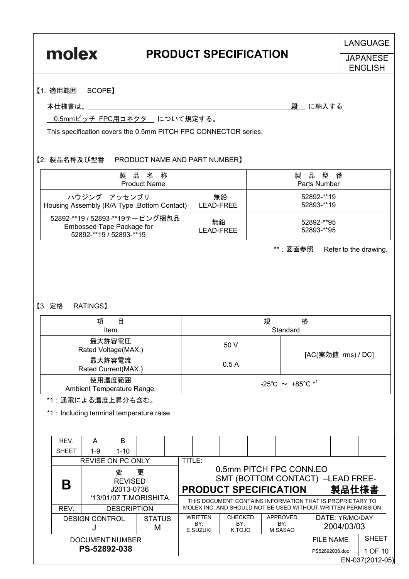# molex

## **PRODUCT SPECIFICATION**

LANGUAGE

#### **JAPANESE ENGLISH**

#### 【1. 適用範囲 SCOPE】

#### 本仕様書は、\_\_\_\_\_\_\_\_\_\_\_\_\_\_\_\_\_\_\_\_\_\_\_\_\_\_\_\_\_\_ 殿\_ に納入する

0.5mmピッチ FPC用コネクタ について規定する。

This specification covers the 0.5mm PITCH FPC CONNECTOR series.

#### 【2. 製品名称及び型番 PRODUCT NAME AND PART NUMBER】

| 製品名称                                                                                    | 製品型番            |                          |
|-----------------------------------------------------------------------------------------|-----------------|--------------------------|
| <b>Product Name</b>                                                                     | Parts Number    |                          |
| ハウジング アッセンブリ                                                                            | 無鉛              | 52892-**19               |
| Housing Assembly (R/A Type, Bottom Contact)                                             | LEAD-FREE       | 52893-**19               |
| 52892-**19 / 52893-**19テーピング梱包品<br>Embossed Tape Package for<br>52892-**19 / 52893-**19 | 無鉛<br>LEAD-FREE | 52892-**95<br>52893-**95 |

\*\*:図面参照 Refer to the drawing.

#### 【3. 定格 RATINGS】

| 項<br>目<br><b>Item</b>                |                                                        | 規<br>格<br>Standard |  |  |
|--------------------------------------|--------------------------------------------------------|--------------------|--|--|
| 最大許容電圧<br>Rated Voltage(MAX.)        | 50 V                                                   |                    |  |  |
| 最大許容電流<br>Rated Current(MAX.)        | 0.5A                                                   | [AC(実効値 rms) / DC] |  |  |
| 使用温度範囲<br>Ambient Temperature Range. | $-25^{\circ}$ C $\sim$ +85 $^{\circ}$ C * <sup>1</sup> |                    |  |  |

\*1:通電による温度上昇分も含む。

\*1 : Including terminal temperature raise.

|                                             | REV.                     | A                                           | B        |                    |                                                                                             |                                   |                                                                                                                           |                            |                               |              |  |  |
|---------------------------------------------|--------------------------|---------------------------------------------|----------|--------------------|---------------------------------------------------------------------------------------------|-----------------------------------|---------------------------------------------------------------------------------------------------------------------------|----------------------------|-------------------------------|--------------|--|--|
|                                             | <b>SHEET</b>             | 1-9                                         | $1 - 10$ |                    |                                                                                             |                                   |                                                                                                                           |                            |                               |              |  |  |
|                                             | <b>REVISE ON PC ONLY</b> |                                             |          |                    | TITLE:                                                                                      |                                   |                                                                                                                           |                            |                               |              |  |  |
| 更<br>変<br><b>REVISED</b><br>Β<br>J2013-0736 |                          |                                             |          |                    | 0.5mm PITCH FPC CONN.EO<br>SMT (BOTTOM CONTACT) -LEAD FREE-<br><b>PRODUCT SPECIFICATION</b> |                                   |                                                                                                                           | 製品仕様書                      |                               |              |  |  |
|                                             | REV.                     | '13/01/07 T.MORISHITA<br><b>DESCRIPTION</b> |          |                    |                                                                                             |                                   | THIS DOCUMENT CONTAINS INFORMATION THAT IS PROPRIETARY TO<br>MOLEX INC. AND SHOULD NOT BE USED WITHOUT WRITTEN PERMISSION |                            |                               |              |  |  |
|                                             |                          | <b>DESIGN CONTROL</b>                       |          | <b>STATUS</b><br>М |                                                                                             | <b>WRITTEN</b><br>BY:<br>E.SUZUKI | <b>CHECKED</b><br>BY:<br>K.TOJO                                                                                           | APPROVED<br>BY:<br>M.SASAO | DATE: YR/MO/DAY<br>2004/03/03 |              |  |  |
|                                             | DOCUMENT NUMBER          |                                             |          |                    |                                                                                             |                                   |                                                                                                                           |                            | FILE NAME                     | <b>SHEET</b> |  |  |
|                                             | PS-52892-038             |                                             |          |                    |                                                                                             |                                   |                                                                                                                           |                            | PS52892038.doc                | 1 OF 10      |  |  |
|                                             | EN-037(2012-05)          |                                             |          |                    |                                                                                             |                                   |                                                                                                                           |                            |                               |              |  |  |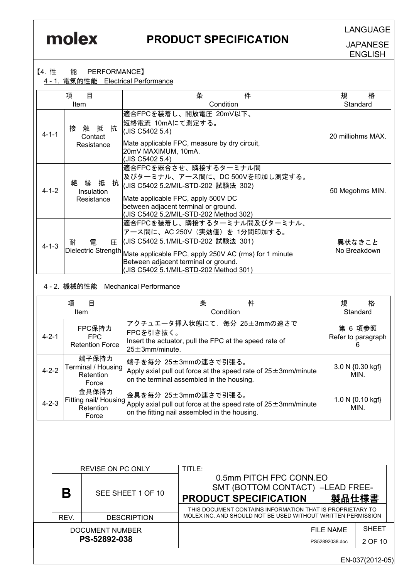**LANGUAGE** 

JAPANESE ENGLISH

#### 【4. 性 能 PERFORMANCE】

4 - 1. 電気的性能 Electrical Performance

|             | 項<br>目                                    | 件<br>条                                                                                                                                                                                                                                          | 格<br>規                 |  |
|-------------|-------------------------------------------|-------------------------------------------------------------------------------------------------------------------------------------------------------------------------------------------------------------------------------------------------|------------------------|--|
|             | <b>Item</b>                               | Condition                                                                                                                                                                                                                                       | Standard               |  |
| $4 - 1 - 1$ | 触 抵 抗<br>接<br>Contact<br>Resistance       | 適合FPCを装着し、開放電圧 20mV以下、<br>短絡電流 10mAにて測定する。<br>(JIS C5402 5.4)<br>Mate applicable FPC, measure by dry circuit,<br>20mV MAXIMUM, 10mA.<br>(JIS C5402 5.4)                                                                                         | 20 milliohms MAX.      |  |
| $4 - 1 - 2$ | 絶<br>縁<br>抵 抗<br>Insulation<br>Resistance | 適合FPCを嵌合させ、隣接するターミナル間<br>及びターミナル、アース間に、DC 500Vを印加し測定する。<br> (JIS C5402 5.2/MIL-STD-202 試験法 302)<br>Mate applicable FPC, apply 500V DC<br>between adjacent terminal or ground.<br>(JIS C5402 5.2/MIL-STD-202 Method 302)                         | 50 Megohms MIN.        |  |
| $4 - 1 - 3$ | 雷<br>耐<br>圧<br>Dielectric Strength        | 適合FPCを装着し、隣接するターミナル間及びターミナル、<br>アース間に、AC 250V(実効値)を 1分間印加する。<br> (JIS C5402 5.1/MIL-STD-202 試験法 301)<br>Mate applicable FPC, apply 250V AC (rms) for 1 minute<br>Between adjacent terminal or ground.<br>(JIS C5402 5.1/MIL-STD-202 Method 301) | 異状なきこと<br>No Breakdown |  |

#### 4 - 2. 機械的性能 Mechanical Performance

|             | 項<br>目<br>Item                                    | 件<br>条<br>Condition                                                                                                                                                                   | 規<br>格<br>Standard                 |
|-------------|---------------------------------------------------|---------------------------------------------------------------------------------------------------------------------------------------------------------------------------------------|------------------------------------|
| $4 - 2 - 1$ | FPC保持力<br>FPC.<br><b>Retention Force</b>          | アクチュエータ挿入状態にて、毎分 25±3mmの速さで<br> FPCを引き抜く。<br>Insert the actuator, pull the FPC at the speed rate of<br>$25 \pm 3$ mm/minute.                                                          | 第 6 項参照<br>Refer to paragraph<br>h |
| $4 - 2 - 2$ | 端子保持力<br>Terminal / Housing<br>Retention<br>Force | 端子を毎分 25±3mmの速さで引張る。<br>Apply axial pull out force at the speed rate of $25\pm 3$ mm/minute<br>on the terminal assembled in the housing.                                              | 3.0 N {0.30 kgf}<br>MIN.           |
| $4 - 2 - 3$ | 金具保持力<br>Force                                    | 金具を毎分 25±3mmの速さで引張る。<br>Fitting nail/ Housing $\frac{1}{\text{Apply}}$ axial pull out force at the speed rate of 25 $\pm$ 3mm/minute<br>on the fitting nail assembled in the housing. | 1.0 N {0.10 kgf}<br>MIN.           |

|                                 |      | <b>REVISE ON PC ONLY</b> | TITLE:                                                                                                               |                                           |                         |  |  |
|---------------------------------|------|--------------------------|----------------------------------------------------------------------------------------------------------------------|-------------------------------------------|-------------------------|--|--|
|                                 | B    | SEE SHEET 1 OF 10        | 0.5mm PITCH FPC CONN.EO<br><b>PRODUCT SPECIFICATION</b><br>THIS DOCUMENT CONTAINS INFORMATION THAT IS PROPRIETARY TO | SMT (BOTTOM CONTACT) -LEAD FREE-<br>製品仕様書 |                         |  |  |
|                                 | REV. | <b>DESCRIPTION</b>       | MOLEX INC. AND SHOULD NOT BE USED WITHOUT WRITTEN PERMISSION                                                         |                                           |                         |  |  |
| DOCUMENT NUMBER<br>PS-52892-038 |      |                          |                                                                                                                      | FILE NAME<br>PS52892038.doc               | <b>SHEET</b><br>2 OF 10 |  |  |
|                                 |      |                          |                                                                                                                      |                                           |                         |  |  |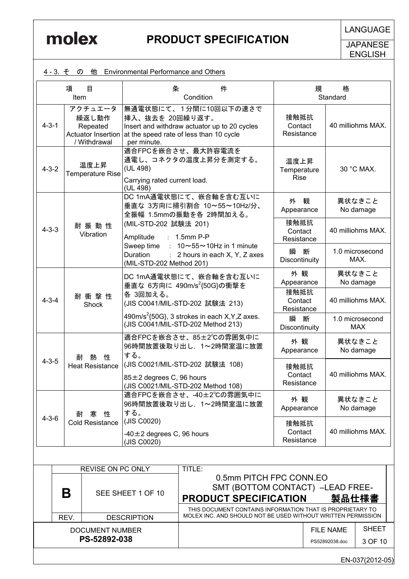**JAPANESE** ENGLISH

|             | 4-3. そ の                     |                                              | 他 Environmental Performance and Others               |                                                                                                                                     |                                    |                         |                                    |                               |
|-------------|------------------------------|----------------------------------------------|------------------------------------------------------|-------------------------------------------------------------------------------------------------------------------------------------|------------------------------------|-------------------------|------------------------------------|-------------------------------|
|             | 項<br>Item                    | 目                                            | 条                                                    | 件<br>Condition                                                                                                                      |                                    | 規                       | 格<br>Standard                      |                               |
| $4 - 3 - 1$ |                              | アクチュエータ<br>繰返し動作<br>Repeated<br>/ Withdrawal | 挿入、抜去を 20回繰り返す。<br>per minute.                       | 無通電状態にて、1分間に10回以下の速さで<br>Insert and withdraw actuator up to 20 cycles<br>Actuator Insertion at the speed rate of less than 10 cycle | 接触抵抗<br>Contact<br>Resistance      |                         |                                    | 40 milliohms MAX.             |
| $4 - 3 - 2$ |                              | 温度上昇<br>Temperature Rise                     | (UL 498)<br>Carrying rated current load.<br>(UL 498) | 適合FPCを嵌合させ、最大許容電流を<br>通電し、コネクタの温度上昇分を測定する。                                                                                          | 温度上昇<br>Temperature<br><b>Rise</b> |                         |                                    | 30 °C MAX.                    |
|             |                              |                                              |                                                      | DC 1mA通電状態にて、嵌合軸を含む互いに<br>垂直な 3方向に掃引割合 10~55~10Hz/分、<br>全振幅 1.5mmの振動を各 2時間加える。                                                      |                                    | 外観<br>Appearance        |                                    | 異状なきこと<br>No damage           |
| $4 - 3 - 3$ |                              | 耐振動性<br>Vibration                            | (MIL-STD-202 試験法 201)<br>Amplitude                   | $: 1.5$ mm P-P                                                                                                                      | 接触抵抗<br>Contact<br>Resistance      |                         |                                    | 40 milliohms MAX.             |
|             |                              |                                              | Sweep time<br>Duration                               | $: 10 \sim 55 \sim 10$ Hz in 1 minute<br>: 2 hours in each X, Y, Z axes<br>(MIL-STD-202 Method 201)                                 |                                    | 瞬<br>断<br>Discontinuity |                                    | 1.0 microsecond<br>MAX.       |
|             | 耐衝撃性<br>$4 - 3 - 4$<br>Shock |                                              |                                                      | DC 1mA通電状態にて、嵌合軸を含む互いに<br>垂直な 6方向に 490m/s <sup>2</sup> {50G}の衝撃を                                                                    |                                    | 外観<br>Appearance        |                                    | 異状なきこと<br>No damage           |
|             |                              |                                              | 各 3回加える。<br>(JIS C0041/MIL-STD-202 試験法 213)          |                                                                                                                                     | 接触抵抗<br>Contact<br>Resistance      |                         |                                    | 40 milliohms MAX.             |
|             |                              |                                              |                                                      | 490m/s <sup>2</sup> {50G}, 3 strokes in each $X, Y, Z$ axes.<br>(JIS C0041/MIL-STD-202 Method 213)                                  | 瞬<br>断<br>Discontinuity            |                         |                                    | 1.0 microsecond<br><b>MAX</b> |
|             | 村                            | 性<br>熱                                       | する。                                                  | 適合FPCを嵌合させ、85±2℃の雰囲気中に<br>96時間放置後取り出し、1~2時間室温に放置                                                                                    | 外観<br>Appearance                   |                         |                                    | 異状なきこと<br>No damage           |
| $4 - 3 - 5$ |                              | <b>Heat Resistance</b>                       | $85 \pm 2$ degrees C, 96 hours                       | (JIS C0021/MIL-STD-202 試験法 108)<br>(JIS C0021/MIL-STD-202 Method 108)                                                               | 接触抵抗<br>Contact<br>Resistance      |                         |                                    | 40 milliohms MAX.             |
|             | 耐                            | 寒 性                                          | する。                                                  | 適合FPCを嵌合させ、-40±2℃の雰囲気中に<br>96時間放置後取り出し、1~2時間室温に放置                                                                                   | 外観<br>Appearance                   |                         |                                    | 異状なきこと<br>No damage           |
| $4 - 3 - 6$ |                              | <b>Cold Resistance</b>                       | (JIS C0020)<br>$-40 \pm 2$ degrees C, 96 hours       |                                                                                                                                     | 接触抵抗<br>Contact<br>Resistance      |                         |                                    | 40 milliohms MAX.             |
|             |                              |                                              | (JIS C0020)                                          |                                                                                                                                     |                                    |                         |                                    |                               |
|             |                              | REVISE ON PC ONLY                            |                                                      | TITLE:                                                                                                                              |                                    |                         |                                    |                               |
|             | B                            |                                              | SEE SHEET 1 OF 10                                    | 0.5mm PITCH FPC CONN.EO<br>SMT (BOTTOM CONTACT) -LEAD FREE-                                                                         |                                    |                         |                                    |                               |
|             |                              |                                              |                                                      | <b>PRODUCT SPECIFICATION</b><br>THIS DOCUMENT CONTAINS INFORMATION THAT IS PROPRIETARY TO                                           |                                    |                         | 製品仕様書                              |                               |
|             | REV.                         |                                              | <b>DESCRIPTION</b>                                   | MOLEX INC. AND SHOULD NOT BE USED WITHOUT WRITTEN PERMISSION                                                                        |                                    |                         |                                    |                               |
|             |                              | <b>DOCUMENT NUMBER</b><br>PS-52892-038       |                                                      |                                                                                                                                     |                                    |                         | <b>FILE NAME</b><br>PS52892038.doc | <b>SHEET</b><br>3 OF 10       |

2 - 3. Tube Environmental Performance and Others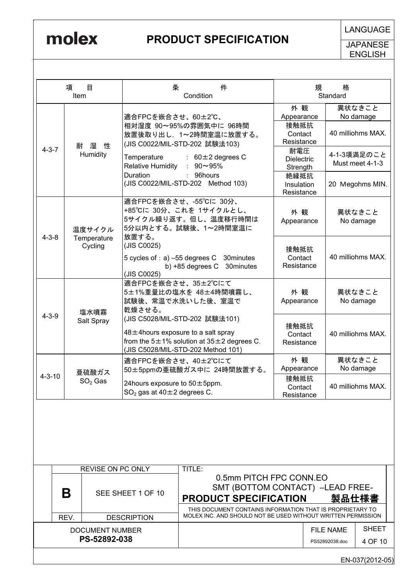**JAPANESE** ENGLISH

|                                                 | 項<br>Item   | 目                                                            | 条                                                                                                                                                                       | Condition                                                                                              | 件                                                                                                                         |                                             | 規     | 格<br>Standard     |                                |
|-------------------------------------------------|-------------|--------------------------------------------------------------|-------------------------------------------------------------------------------------------------------------------------------------------------------------------------|--------------------------------------------------------------------------------------------------------|---------------------------------------------------------------------------------------------------------------------------|---------------------------------------------|-------|-------------------|--------------------------------|
|                                                 |             |                                                              |                                                                                                                                                                         |                                                                                                        |                                                                                                                           | 外観                                          |       |                   | 異状なきこと                         |
|                                                 | 耐           | 湿<br>性                                                       |                                                                                                                                                                         | 適合FPCを嵌合させ、60±2℃、<br>相対湿度 90~95%の雰囲気中に 96時間<br>放置後取り出し、1~2時間室温に放置する。<br>(JIS C0022/MIL-STD-202 試験法103) |                                                                                                                           | Appearance<br>接触抵抗<br>Contact<br>Resistance |       |                   | No damage<br>40 milliohms MAX. |
|                                                 | $4 - 3 - 7$ | Humidity                                                     | Temperature<br><b>Relative Humidity</b>                                                                                                                                 | : $90 \sim 95\%$                                                                                       | $: 60 \pm 2$ degrees C                                                                                                    | 耐電圧<br><b>Dielectric</b><br>Strength        |       |                   | 4-1-3項満足のこと<br>Must meet 4-1-3 |
|                                                 |             |                                                              | <b>Duration</b><br>(JIS C0022/MIL-STD-202 Method 103)                                                                                                                   | 96hours                                                                                                |                                                                                                                           | 絶縁抵抗<br>Insulation<br>Resistance            |       |                   | 20 Megohms MIN.                |
| 温度サイクル<br>$4 - 3 - 8$<br>Temperature<br>Cycling |             |                                                              | 適合FPCを嵌合させ、-55℃に 30分、<br>+85°Cに 30分、これを 1サイクルとし、<br>5サイクル繰り返す。但し、温度移行時間は<br>5分以内とする。試験後、1~2時間室温に<br>放置する。                                                               |                                                                                                        |                                                                                                                           | 外観<br>Appearance                            |       |                   | 異状なきこと<br>No damage            |
|                                                 |             | (JIS C0025)<br>5 cycles of : a) -55 degrees C<br>(JIS C0025) | b) $+85$ degrees C                                                                                                                                                      | 30minutes<br>30minutes                                                                                 | 接触抵抗<br>Contact<br>Resistance                                                                                             |                                             |       | 40 milliohms MAX. |                                |
| 塩水噴霧<br>$4 - 3 - 9$                             |             |                                                              | 乾燥させる。                                                                                                                                                                  | 適合FPCを嵌合させ、35±2℃にて<br>5±1%重量比の塩水を 48±4時間噴霧し、<br>試験後、常温で水洗いした後、室温で                                      |                                                                                                                           | 外観<br>Appearance                            |       |                   | 異状なきこと<br>No damage            |
|                                                 |             | Salt Spray                                                   | (JIS C5028/MIL-STD-202 試験法101)<br>$48 \pm 4$ hours exposure to a salt spray<br>from the $5\pm1\%$ solution at $35\pm2$ degrees C.<br>(JIS C5028/MIL-STD-202 Method 101) |                                                                                                        | 接触抵抗<br>Contact<br>Resistance                                                                                             |                                             |       | 40 milliohms MAX. |                                |
|                                                 |             | 亜硫酸ガス                                                        | 適合FPCを嵌合させ、40±2℃にて<br>50±5ppmの亜硫酸ガス中に 24時間放置する。                                                                                                                         |                                                                                                        |                                                                                                                           | 外観<br>Appearance                            |       |                   | 異状なきこと<br>No damage            |
| $4 - 3 - 10$                                    |             | $SO2$ Gas                                                    | 24 hours exposure to $50 \pm 5$ ppm.<br>SO <sub>2</sub> gas at $40 \pm 2$ degrees C.                                                                                    |                                                                                                        |                                                                                                                           | 接触抵抗<br>Contact<br>Resistance               |       |                   | 40 milliohms MAX.              |
|                                                 |             |                                                              |                                                                                                                                                                         |                                                                                                        |                                                                                                                           |                                             |       |                   |                                |
|                                                 |             | REVISE ON PC ONLY                                            |                                                                                                                                                                         | TITLE:                                                                                                 | 0.5mm PITCH FPC CONN.EO                                                                                                   |                                             |       |                   |                                |
| Β<br>SEE SHEET 1 OF 10                          |             |                                                              |                                                                                                                                                                         | SMT (BOTTOM CONTACT) -LEAD FREE-<br><b>PRODUCT SPECIFICATION</b>                                       |                                                                                                                           |                                             | 製品仕様書 |                   |                                |
|                                                 | REV.        |                                                              | <b>DESCRIPTION</b>                                                                                                                                                      |                                                                                                        | THIS DOCUMENT CONTAINS INFORMATION THAT IS PROPRIETARY TO<br>MOLEX INC. AND SHOULD NOT BE USED WITHOUT WRITTEN PERMISSION |                                             |       |                   |                                |
|                                                 |             | <b>DOCUMENT NUMBER</b>                                       |                                                                                                                                                                         |                                                                                                        |                                                                                                                           |                                             |       | <b>FILE NAME</b>  | <b>SHEET</b>                   |
|                                                 |             | PS-52892-038                                                 |                                                                                                                                                                         |                                                                                                        |                                                                                                                           |                                             |       | PS52892038.doc    | 4 OF 10                        |
|                                                 |             |                                                              |                                                                                                                                                                         |                                                                                                        |                                                                                                                           |                                             |       |                   | EN-037(2012-05)                |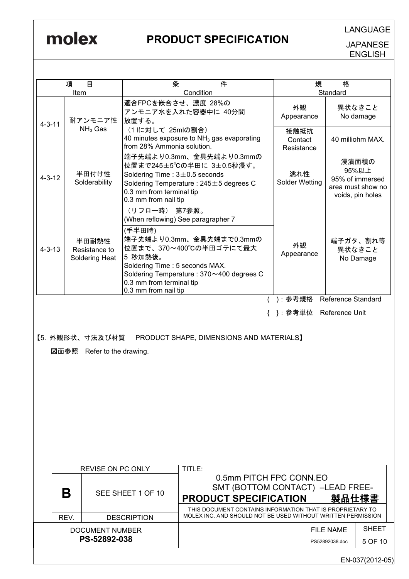**JAPANESE** ENGLISH

|              | 項<br>目<br>Item                                                                         | 条                                                                                                                                                                                                                                                                | Condition | 件                                                                                                                                                        | 規                             | 格<br>Standard                      |                                                                            |
|--------------|----------------------------------------------------------------------------------------|------------------------------------------------------------------------------------------------------------------------------------------------------------------------------------------------------------------------------------------------------------------|-----------|----------------------------------------------------------------------------------------------------------------------------------------------------------|-------------------------------|------------------------------------|----------------------------------------------------------------------------|
| $4 - 3 - 11$ | 耐アンモニア性                                                                                | 適合FPCを嵌合させ、濃度 28%の<br>アンモニア水を入れた容器中に 40分間<br>放置する。                                                                                                                                                                                                               |           |                                                                                                                                                          | 外観<br>Appearance              |                                    | 異状なきこと<br>No damage                                                        |
|              | $NH3$ Gas                                                                              | (1 IIこ対して 25mlの割合)<br>40 minutes exposure to $NH3$ gas evaporating<br>from 28% Ammonia solution.                                                                                                                                                                 |           |                                                                                                                                                          | 接触抵抗<br>Contact<br>Resistance |                                    | 40 milliohm MAX.                                                           |
| $4 - 3 - 12$ | 半田付け性<br>Solderability                                                                 | 端子先端より0.3mm、金具先端より0.3mmの<br>位置まで245±5℃の半田に 3±0.5秒浸す。<br>Soldering Time: $3 \pm 0.5$ seconds<br>Soldering Temperature: 245±5 degrees C<br>0.3 mm from terminal tip<br>0.3 mm from nail tip                                                                        |           |                                                                                                                                                          | 濡れ性<br><b>Solder Wetting</b>  |                                    | 浸漬面積の<br>95%以上<br>95% of immersed<br>area must show no<br>voids, pin holes |
| $4 - 3 - 13$ | 半田耐熱性<br>Resistance to<br>Soldering Heat                                               | (リフロー時) 第7参照。<br>(When reflowing) See paragrapher 7<br>(手半田時)<br>端子先端より0.3mm、金具先端まで0.3mmの<br>位置まで、370~400℃の半田ゴテにて最大<br>5 秒加熱後。<br>Soldering Time: 5 seconds MAX.<br>Soldering Temperature: 370~400 degrees C<br>0.3 mm from terminal tip<br>0.3 mm from nail tip |           |                                                                                                                                                          | 外観<br>Appearance<br>):参考規格    | <b>Reference Standard</b>          | 端子ガタ、割れ等<br>異状なきこと<br>No Damage                                            |
|              | 【5. 外観形状、寸法及び材質 PRODUCT SHAPE, DIMENSIONS AND MATERIALS】<br>図面参照 Refer to the drawing. |                                                                                                                                                                                                                                                                  |           |                                                                                                                                                          | { }: 参考単位 Reference Unit      |                                    |                                                                            |
|              | <b>REVISE ON PC ONLY</b>                                                               |                                                                                                                                                                                                                                                                  | TITLE:    |                                                                                                                                                          |                               |                                    |                                                                            |
|              | Β                                                                                      | SEE SHEET 1 OF 10                                                                                                                                                                                                                                                |           | 0.5mm PITCH FPC CONN.EO<br>SMT (BOTTOM CONTACT) -LEAD FREE-<br><b>PRODUCT SPECIFICATION</b><br>THIS DOCUMENT CONTAINS INFORMATION THAT IS PROPRIETARY TO |                               | 製品仕様書                              |                                                                            |
|              | REV.                                                                                   | <b>DESCRIPTION</b>                                                                                                                                                                                                                                               |           | MOLEX INC. AND SHOULD NOT BE USED WITHOUT WRITTEN PERMISSION                                                                                             |                               |                                    |                                                                            |
|              | <b>DOCUMENT NUMBER</b><br>PS-52892-038                                                 |                                                                                                                                                                                                                                                                  |           |                                                                                                                                                          |                               | <b>FILE NAME</b><br>PS52892038.doc | <b>SHEET</b><br>5 OF 10                                                    |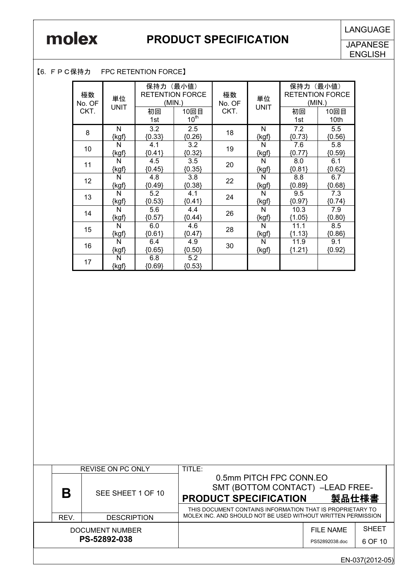**JAPANESE** ENGLISH

#### 【6. FPC保持力 FPC RETENTION FORCE】

| 極数<br>No. OF | 単位<br><b>UNIT</b> | 保持力<br>(最小値)<br><b>RETENTION FORCE</b><br>(MIN.) |                          | 極数<br>No. OF | 単位<br><b>UNIT</b> | 保持力<br>(最小値)<br><b>RETENTION FORCE</b><br>(MIN.) |                 |
|--------------|-------------------|--------------------------------------------------|--------------------------|--------------|-------------------|--------------------------------------------------|-----------------|
| CKT.         |                   | 初回<br>1st                                        | 10回目<br>10 <sup>th</sup> | CKT.         |                   | 初回<br>1st                                        | 10回目<br>10th    |
| 8            | N<br>$\{kgf\}$    | 3.2<br>${0.33}$                                  | 2.5<br>${0.26}$          | 18           | N<br>$\{kgf\}$    | 7.2<br>${0.73}$                                  | 5.5<br>${0.56}$ |
| 10           | N<br>{kgf}        | 4.1<br>${0.41}$                                  | 3.2<br>${0.32}$          | 19           | N<br>{kgf}        | 7.6<br>${0.77}$                                  | 5.8<br>${0.59}$ |
| 11           | N<br>{kgf}        | 4.5<br>${0.45}$                                  | 3.5<br>${0.35}$          | 20           | N<br>$\{kgf\}$    | 8.0<br>${0.81}$                                  | 6.1<br>${0.62}$ |
| 12           | N<br>{kgf}        | 4.8<br>${0.49}$                                  | 3.8<br>${0.38}$          | 22           | N<br>{kgf}        | 8.8<br>${0.89}$                                  | 6.7<br>${0.68}$ |
| 13           | N<br>{kgf}        | 5.2<br>${0.53}$                                  | 4.1<br>${0.41}$          | 24           | N<br>{kgf}        | 9.5<br>${0.97}$                                  | 7.3<br>${0.74}$ |
| 14           | N<br>{kgf}        | 5.6<br>${0.57}$                                  | 4.4<br>${0.44}$          | 26           | N<br>{kgf}        | 10.3<br>${1.05}$                                 | 7.9<br>${0.80}$ |
| 15           | N<br>{kgf}        | 6.0<br>${0.61}$                                  | 4.6<br>${0.47}$          | 28           | N<br>$\{kgf\}$    | 11.1<br>${1.13}$                                 | 8.5<br>${0.86}$ |
| 16           | N<br>$\{kgf\}$    | 6.4<br>${0.65}$                                  | 4.9<br>${0.50}$          | 30           | N<br>$\{kgf\}$    | 11.9<br>${1.21}$                                 | 9.1<br>(0.92)   |
| 17           | N<br>$\{kgf\}$    | 6.8<br>${0.69}$                                  | 5.2<br>${0.53}$          |              |                   |                                                  |                 |

|                                 |      | <b>REVISE ON PC ONLY</b> | TITLE:                                                                                                                                                   |                             |                         |  |
|---------------------------------|------|--------------------------|----------------------------------------------------------------------------------------------------------------------------------------------------------|-----------------------------|-------------------------|--|
|                                 | Β    | SEE SHEET 1 OF 10        | 0.5mm PITCH FPC CONN.EO<br>SMT (BOTTOM CONTACT) -LEAD FREE-<br><b>PRODUCT SPECIFICATION</b><br>THIS DOCUMENT CONTAINS INFORMATION THAT IS PROPRIETARY TO | 製品仕様書                       |                         |  |
|                                 | REV. | <b>DESCRIPTION</b>       | MOLEX INC. AND SHOULD NOT BE USED WITHOUT WRITTEN PERMISSION                                                                                             |                             |                         |  |
| DOCUMENT NUMBER<br>PS-52892-038 |      |                          |                                                                                                                                                          | FILE NAME<br>PS52892038.doc | <b>SHEET</b><br>6 OF 10 |  |
|                                 |      |                          |                                                                                                                                                          |                             |                         |  |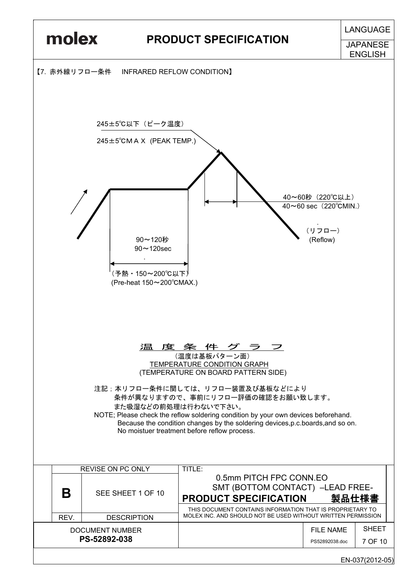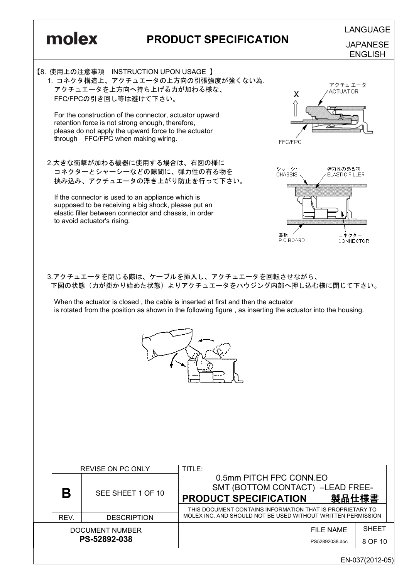

|      | <b>REVISE ON PC ONLY</b>        | TITLE:                                                                                                                                                   |                             |                         |
|------|---------------------------------|----------------------------------------------------------------------------------------------------------------------------------------------------------|-----------------------------|-------------------------|
| B    | SEE SHEET 1 OF 10               | 0.5mm PITCH FPC CONN.EO<br>SMT (BOTTOM CONTACT) -LEAD FREE-<br><b>PRODUCT SPECIFICATION</b><br>THIS DOCUMENT CONTAINS INFORMATION THAT IS PROPRIETARY TO | 製品仕様書                       |                         |
| REV. | <b>DESCRIPTION</b>              | MOLEX INC. AND SHOULD NOT BE USED WITHOUT WRITTEN PERMISSION                                                                                             |                             |                         |
|      | DOCUMENT NUMBER<br>PS-52892-038 |                                                                                                                                                          | FILE NAME<br>PS52892038.doc | <b>SHEET</b><br>8 OF 10 |
|      |                                 |                                                                                                                                                          |                             |                         |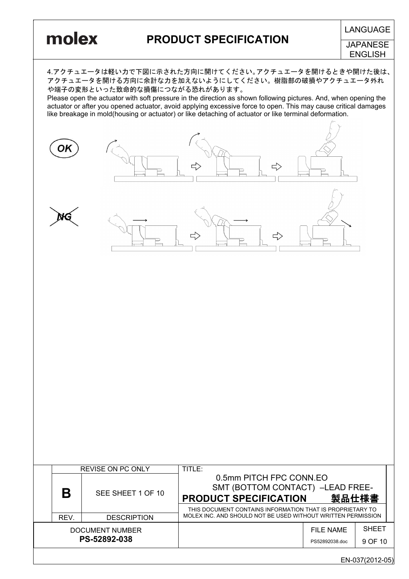# **LANGUAGE**

**PRODUCT SPECIFICATION** 

JAPANESE **ENGLISH** 

4.アクチュエータは軽い力で下図に示された方向に開けてください。アクチュエータを開けるときや開けた後は、 アクチュエータを開ける方向に余計な力を加えないようにしてください。樹脂部の破損やアクチュエータ外れ や端子の変形といった致命的な損傷につながる恐れがあります。

Please open the actuator with soft pressure in the direction as shown following pictures. And, when opening the actuator or after you opened actuator, avoid applying excessive force to open. This may cause critical damages like breakage in mold(housing or actuator) or like detaching of actuator or like terminal deformation.